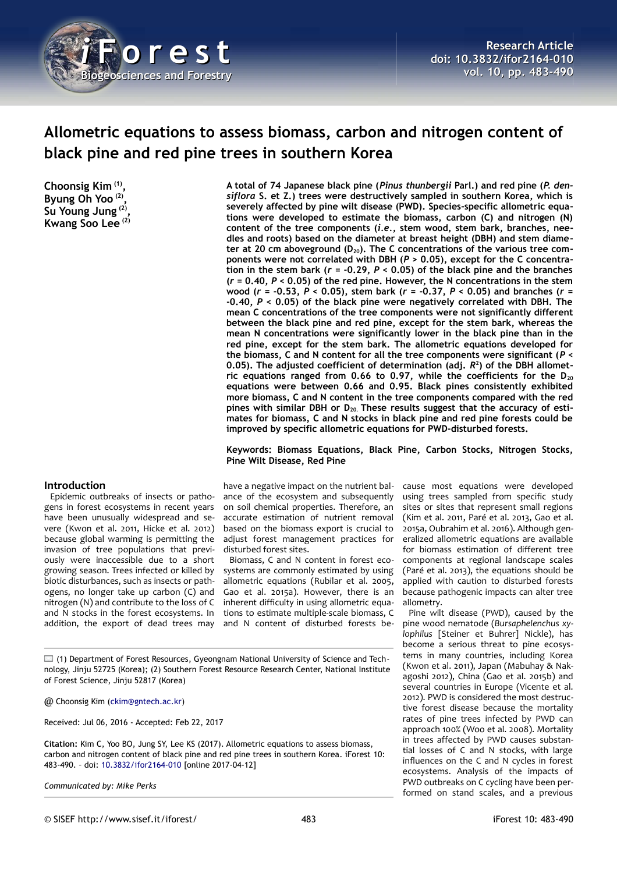

# **Allometric equations to assess biomass, carbon and nitrogen content of black pine and red pine trees in southern Korea**

**Choonsig Kim (1) , Byung Oh Yoo (2) , Su Young Jung (2) , Kwang Soo Lee (2)**

#### **Introduction**

Epidemic outbreaks of insects or pathogens in forest ecosystems in recent years have been unusually widespread and severe (Kwon et al. 2011, Hicke et al. 2012) because global warming is permitting the invasion of tree populations that previously were inaccessible due to a short growing season. Trees infected or killed by biotic disturbances, such as insects or pathogens, no longer take up carbon (C) and nitrogen (N) and contribute to the loss of C and N stocks in the forest ecosystems. In addition, the export of dead trees may **A total of 74 Japanese black pine (***Pinus thunbergii* **Parl.) and red pine (***P. densiflora* **S. et Z.) trees were destructively sampled in southern Korea, which is severely affected by pine wilt disease (PWD). Species-specific allometric equations were developed to estimate the biomass, carbon (C) and nitrogen (N) content of the tree components (***i.e.***, stem wood, stem bark, branches, needles and roots) based on the diameter at breast height (DBH) and stem diameter at 20 cm aboveground (D20). The C concentrations of the various tree components were not correlated with DBH (***P* **> 0.05), except for the C concentra**tion in the stem bark  $(r = -0.29, P < 0.05)$  of the black pine and the branches **(***r* **= 0.40,** *P* **< 0.05) of the red pine. However, the N concentrations in the stem wood (***r* **= -0.53,** *P* **< 0.05), stem bark (***r* **= -0.37,** *P* **< 0.05) and branches (***r* **= -0.40,** *P* **< 0.05) of the black pine were negatively correlated with DBH. The mean C concentrations of the tree components were not significantly different between the black pine and red pine, except for the stem bark, whereas the mean N concentrations were significantly lower in the black pine than in the red pine, except for the stem bark. The allometric equations developed for the biomass, C and N content for all the tree components were significant (***P* **< 0.05). The adjusted coefficient of determination (adj.** *R* **2 ) of the DBH allometric equations ranged from 0.66 to 0.97, while the coefficients for the D<sup>20</sup> equations were between 0.66 and 0.95. Black pines consistently exhibited more biomass, C and N content in the tree components compared with the red pines with similar DBH or D20. These results suggest that the accuracy of estimates for biomass, C and N stocks in black pine and red pine forests could be improved by specific allometric equations for PWD-disturbed forests.**

#### **Keywords: Biomass Equations, Black Pine, Carbon Stocks, Nitrogen Stocks, Pine Wilt Disease, Red Pine**

have a negative impact on the nutrient balance of the ecosystem and subsequently on soil chemical properties. Therefore, an accurate estimation of nutrient removal based on the biomass export is crucial to adjust forest management practices for disturbed forest sites.

Biomass, C and N content in forest ecosystems are commonly estimated by using allometric equations (Rubilar et al. 2005, Gao et al. 2015a). However, there is an inherent difficulty in using allometric equations to estimate multiple-scale biomass, C and N content of disturbed forests be-

cause most equations were developed using trees sampled from specific study sites or sites that represent small regions (Kim et al. 2011, Paré et al. 2013, Gao et al. 2015a, Oubrahim et al. 2016). Although generalized allometric equations are available for biomass estimation of different tree components at regional landscape scales (Paré et al. 2013), the equations should be applied with caution to disturbed forests because pathogenic impacts can alter tree allometry.

Pine wilt disease (PWD), caused by the pine wood nematode (*Bursaphelenchus xylophilus* [Steiner et Buhrer] Nickle), has become a serious threat to pine ecosystems in many countries, including Korea (Kwon et al. 2011), Japan (Mabuhay & Nakagoshi 2012), China (Gao et al. 2015b) and several countries in Europe (Vicente et al. 2012). PWD is considered the most destructive forest disease because the mortality rates of pine trees infected by PWD can approach 100% (Woo et al. 2008). Mortality in trees affected by PWD causes substantial losses of C and N stocks, with large influences on the C and N cycles in forest ecosystems. Analysis of the impacts of PWD outbreaks on C cycling have been performed on stand scales, and a previous

 $\Box$  (1) Department of Forest Resources, Gyeongnam National University of Science and Technology, Jinju 52725 (Korea); (2) Southern Forest Resource Research Center, National Institute of Forest Science, Jinju 52817 (Korea)

@ Choonsig Kim [\(ckim@gntech.ac.kr\)](mailto:ckim@gntech.ac.kr)

Received: Jul 06, 2016 - Accepted: Feb 22, 2017

**Citation:** Kim C, Yoo BO, Jung SY, Lee KS (2017). Allometric equations to assess biomass, carbon and nitrogen content of black pine and red pine trees in southern Korea. iForest 10: 483-490. – doi: [10.3832/ifor2164-010](http://www.sisef.it/iforest/contents/?id=ifor2164-010) [online 2017-04-12]

*Communicated by: Mike Perks*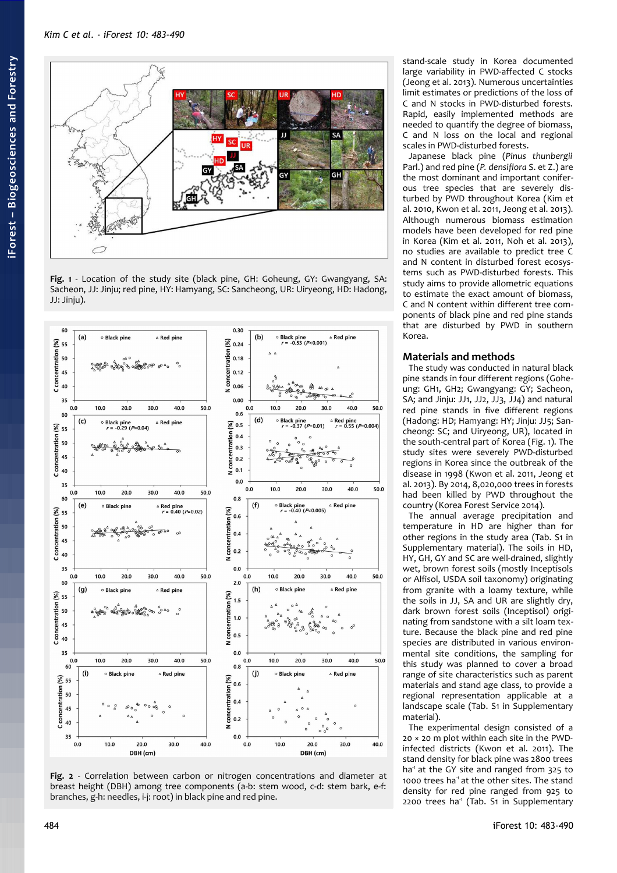*Kim C et al. - iForest 10: 483-490*



<span id="page-1-0"></span>**Fig. 1** - Location of the study site (black pine, GH: Goheung, GY: Gwangyang, SA: Sacheon, JJ: Jinju; red pine, HY: Hamyang, SC: Sancheong, UR: Uiryeong, HD: Hadong, JJ: Jinju).



<span id="page-1-1"></span>**Fig. 2** - Correlation between carbon or nitrogen concentrations and diameter at breast height (DBH) among tree components (a-b: stem wood, c-d: stem bark, e-f: branches, g-h: needles, i-j: root) in black pine and red pine.

stand-scale study in Korea documented large variability in PWD-affected C stocks (Jeong et al. 2013). Numerous uncertainties limit estimates or predictions of the loss of C and N stocks in PWD-disturbed forests. Rapid, easily implemented methods are needed to quantify the degree of biomass, C and N loss on the local and regional scales in PWD-disturbed forests.

Japanese black pine (*Pinus thunbergii* Parl.) and red pine (*P. densiflora* S. et Z.) are the most dominant and important coniferous tree species that are severely disturbed by PWD throughout Korea (Kim et al. 2010, Kwon et al. 2011, Jeong et al. 2013). Although numerous biomass estimation models have been developed for red pine in Korea (Kim et al. 2011, Noh et al. 2013), no studies are available to predict tree C and N content in disturbed forest ecosystems such as PWD-disturbed forests. This study aims to provide allometric equations to estimate the exact amount of biomass, C and N content within different tree components of black pine and red pine stands that are disturbed by PWD in southern Korea.

## **Materials and methods**

The study was conducted in natural black pine stands in four different regions (Goheung: GH1, GH2; Gwangyang: GY; Sacheon, SA; and Jinju: JJ1, JJ2, JJ3, JJ4) and natural red pine stands in five different regions (Hadong: HD; Hamyang: HY; Jinju: JJ5; Sancheong: SC; and Uiryeong, UR), located in the south-central part of Korea [\(Fig. 1\)](#page-1-0). The study sites were severely PWD-disturbed regions in Korea since the outbreak of the disease in 1998 (Kwon et al. 2011, Jeong et al. 2013). By 2014, 8,020,000 trees in forests had been killed by PWD throughout the country (Korea Forest Service 2014).

The annual average precipitation and temperature in HD are higher than for other regions in the study area (Tab. S1 in Supplementary material). The soils in HD, HY, GH, GY and SC are well-drained, slightly wet, brown forest soils (mostly Inceptisols or Alfisol, USDA soil taxonomy) originating from granite with a loamy texture, while the soils in JJ, SA and UR are slightly dry, dark brown forest soils (Inceptisol) originating from sandstone with a silt loam texture. Because the black pine and red pine species are distributed in various environmental site conditions, the sampling for this study was planned to cover a broad range of site characteristics such as parent materials and stand age class, to provide a regional representation applicable at a landscape scale (Tab. S1 in Supplementary material).

The experimental design consisted of a 20 × 20 m plot within each site in the PWDinfected districts (Kwon et al. 2011). The stand density for black pine was 2800 trees ha<sup>1</sup> at the GY site and ranged from 325 to 1000 trees ha<sup>1</sup> at the other sites. The stand density for red pine ranged from 925 to  $2200$  trees ha<sup>1</sup> (Tab. S1 in Supplementary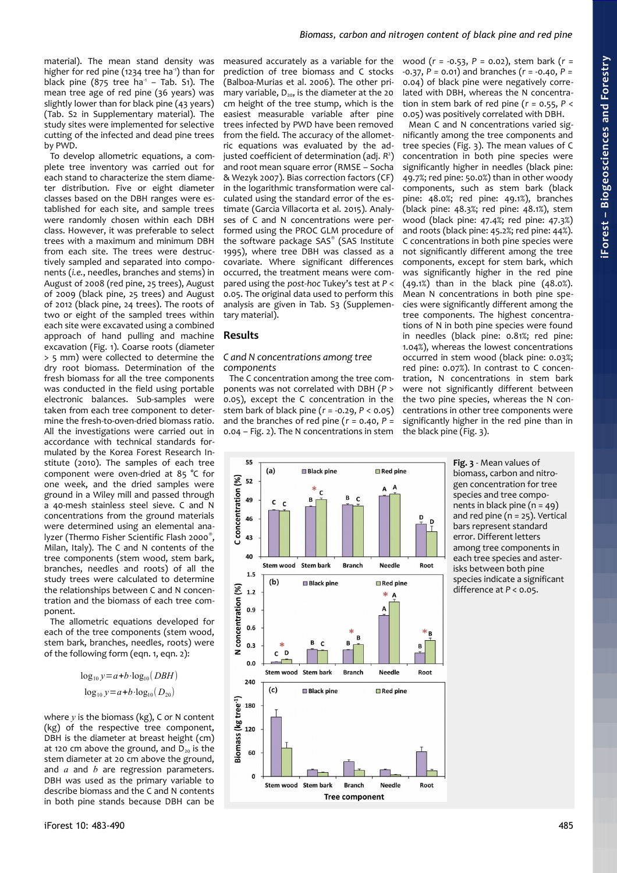material). The mean stand density was higher for red pine (1234 tree ha<sup>1</sup>) than for black pine  $(875$  tree ha<sup>-1</sup> - Tab. S1). The mean tree age of red pine (36 years) was slightly lower than for black pine (43 years) (Tab. S2 in Supplementary material). The study sites were implemented for selective cutting of the infected and dead pine trees by PWD.

To develop allometric equations, a complete tree inventory was carried out for each stand to characterize the stem diameter distribution. Five or eight diameter classes based on the DBH ranges were established for each site, and sample trees were randomly chosen within each DBH class. However, it was preferable to select trees with a maximum and minimum DBH from each site. The trees were destructively sampled and separated into components (*i.e.*, needles, branches and stems) in August of 2008 (red pine, 25 trees), August of 2009 (black pine, 25 trees) and August of 2012 (black pine, 24 trees). The roots of two or eight of the sampled trees within each site were excavated using a combined approach of hand pulling and machine excavation [\(Fig. 1\)](#page-1-0). Coarse roots (diameter > 5 mm) were collected to determine the dry root biomass. Determination of the fresh biomass for all the tree components was conducted in the field using portable electronic balances. Sub-samples were taken from each tree component to determine the fresh-to-oven-dried biomass ratio. All the investigations were carried out in accordance with technical standards formulated by the Korea Forest Research Institute (2010). The samples of each tree component were oven-dried at 85 °C for one week, and the dried samples were ground in a Wiley mill and passed through a 40-mesh stainless steel sieve. C and N concentrations from the ground materials were determined using an elemental analyzer (Thermo Fisher Scientific Flash 2000<sup>®</sup>, Milan, Italy). The C and N contents of the tree components (stem wood, stem bark, branches, needles and roots) of all the study trees were calculated to determine the relationships between C and N concentration and the biomass of each tree component.

The allometric equations developed for each of the tree components (stem wood, stem bark, branches, needles, roots) were of the following form (eqn. 1, eqn. 2):

$$
\log_{10} y = a + b \cdot \log_{10} (DBH)
$$
  

$$
\log_{10} y = a + b \cdot \log_{10} (D_{20})
$$

where *y* is the biomass (kg), C or N content (kg) of the respective tree component, DBH is the diameter at breast height (cm) at 120 cm above the ground, and  $D_{20}$  is the stem diameter at 20 cm above the ground, and *a* and *b* are regression parameters. DBH was used as the primary variable to describe biomass and the C and N contents in both pine stands because DBH can be measured accurately as a variable for the prediction of tree biomass and C stocks (Balboa-Murias et al. 2006). The other primary variable,  $D_{20}$ , is the diameter at the 20 cm height of the tree stump, which is the easiest measurable variable after pine trees infected by PWD have been removed from the field. The accuracy of the allometric equations was evaluated by the adjusted coefficient of determination (adj. *R* 2 ) and root mean square error (RMSE – Socha & Wezyk 2007). Bias correction factors (CF) in the logarithmic transformation were calculated using the standard error of the estimate (Garcia Villacorta et al. 2015). Analyses of C and N concentrations were performed using the PROC GLM procedure of the software package SAS® (SAS Institute 1995), where tree DBH was classed as a covariate. Where significant differences occurred, the treatment means were compared using the *post-hoc* Tukey's test at *P* < 0.05. The original data used to perform this analysis are given in Tab. S3 (Supplementary material).

### **Results**

#### *C and N concentrations among tree components*

The C concentration among the tree components was not correlated with DBH (*P* > 0.05), except the C concentration in the stem bark of black pine (*r* = -0.29, *P* < 0.05) and the branches of red pine (*r* = 0.40, *P* = 0.04 – [Fig. 2\)](#page-1-1). The N concentrations in stem



Mean C and N concentrations varied significantly among the tree components and tree species [\(Fig. 3\)](#page-2-0). The mean values of C concentration in both pine species were significantly higher in needles (black pine: 49.7%; red pine: 50.0%) than in other woody components, such as stem bark (black pine: 48.0%; red pine: 49.1%), branches (black pine: 48.3%; red pine: 48.1%), stem wood (black pine: 47.4%; red pine: 47.3%) and roots (black pine: 45.2%; red pine: 44%). C concentrations in both pine species were not significantly different among the tree components, except for stem bark, which was significantly higher in the red pine  $(49.1\%)$  than in the black pine  $(48.0\%)$ . Mean N concentrations in both pine species were significantly different among the tree components. The highest concentrations of N in both pine species were found in needles (black pine: 0.81%; red pine: 1.04%), whereas the lowest concentrations occurred in stem wood (black pine: 0.03%; red pine: 0.07%). In contrast to C concentration, N concentrations in stem bark were not significantly different between the two pine species, whereas the N concentrations in other tree components were significantly higher in the red pine than in the black pine [\(Fig. 3\)](#page-2-0).



<span id="page-2-0"></span>**Fig. 3** - Mean values of biomass, carbon and nitrogen concentration for tree species and tree components in black pine  $(n = 49)$ and red pine  $(n = 25)$ . Vertical bars represent standard error. Different letters among tree components in each tree species and asterisks between both pine species indicate a significant difference at  $P < 0.05$ .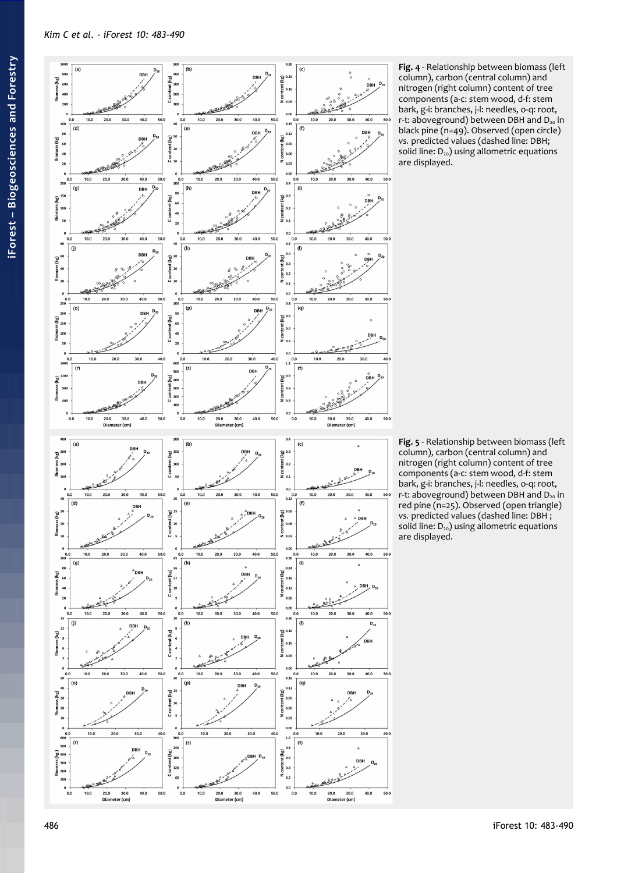

<span id="page-3-1"></span>**Fig. 4** - Relationship between biomass (left column), carbon (central column) and nitrogen (right column) content of tree components (a-c: stem wood, d-f: stem bark, g-i: branches, j-l: needles, o-q: root, r-t: aboveground) between DBH and  $D_{20}$  in black pine (n=49). Observed (open circle) *vs.* predicted values (dashed line: DBH; solid line:  $D_{20}$ ) using allometric equations are displayed.

<span id="page-3-0"></span>**Fig. 5** - Relationship between biomass (left column), carbon (central column) and nitrogen (right column) content of tree components (a-c: stem wood, d-f: stem bark, g-i: branches, j-l: needles, o-q: root, r-t: aboveground) between DBH and  $D_{20}$  in red pine (n=25). Observed (open triangle) *vs.* predicted values (dashed line: DBH ; solid line:  $D_{20}$ ) using allometric equations are displayed.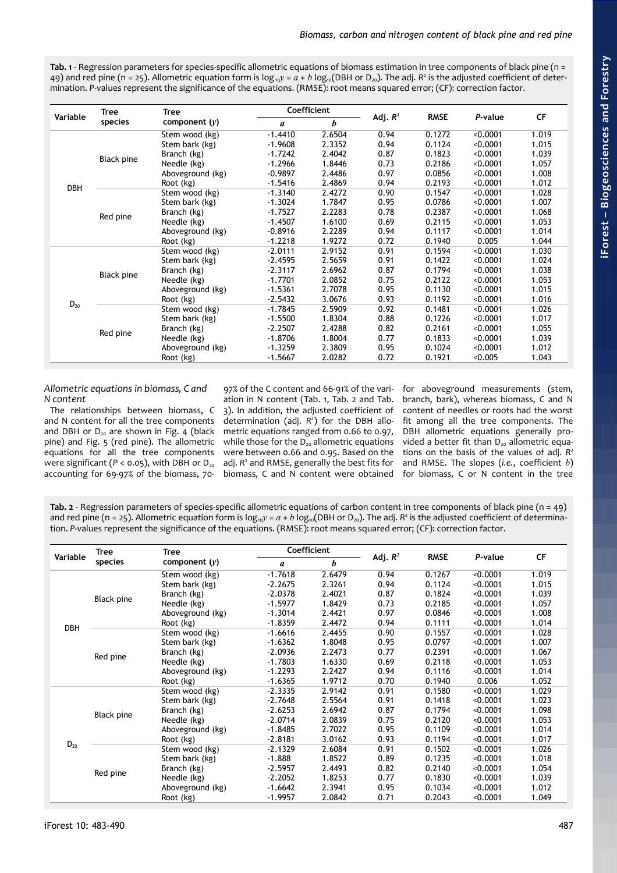<span id="page-4-1"></span>**Tab. 1** - Regression parameters for species-specific allometric equations of biomass estimation in tree components of black pine (n = 49) and red pine (n = 25). Allometric equation form is  $\log_{10}y = a + b \log_{10}(\text{DBH or D}_{20})$ . The adj. R<sup>2</sup> is the adjusted coefficient of determination. *P*-values represent the significance of the equations. (RMSE): root means squared error; (CF): correction factor.

|            | <b>Tree</b>       | <b>Tree</b>      | Coefficient   |        |            |             |          |       |
|------------|-------------------|------------------|---------------|--------|------------|-------------|----------|-------|
| Variable   | species           | component $(y)$  | $\mathfrak a$ | b      | Adj. $R^2$ | <b>RMSE</b> | P-value  | CF    |
|            |                   | Stem wood (kg)   | $-1.4410$     | 2.6504 | 0.94       | 0.1272      | < 0.0001 | 1.019 |
|            |                   | Stem bark (kg)   | $-1.9608$     | 2.3352 | 0.94       | 0.1124      | < 0.0001 | 1.015 |
|            |                   | Branch (kg)      | $-1.7242$     | 2.4042 | 0.87       | 0.1823      | < 0.0001 | 1.039 |
|            | Black pine        | Needle (kg)      | $-1.2966$     | 1.8446 | 0.73       | 0.2186      | < 0.0001 | 1.057 |
|            |                   | Aboveground (kg) | $-0.9897$     | 2.4486 | 0.97       | 0.0856      | < 0.0001 | 1.008 |
| <b>DBH</b> |                   | Root (kg)        | $-1.5416$     | 2.4869 | 0.94       | 0.2193      | < 0.0001 | 1.012 |
|            |                   | Stem wood (kg)   | $-1.3140$     | 2.4272 | 0.90       | 0.1547      | < 0.0001 | 1.028 |
|            |                   | Stem bark (kg)   | $-1.3024$     | 1.7847 | 0.95       | 0.0786      | < 0.0001 | 1.007 |
|            | Red pine          | Branch (kg)      | $-1.7527$     | 2.2283 | 0.78       | 0.2387      | < 0.0001 | 1.068 |
|            |                   | Needle (kg)      | $-1.4507$     | 1.6100 | 0.69       | 0.2115      | < 0.0001 | 1.053 |
|            |                   | Aboveground (kg) | $-0.8916$     | 2.2289 | 0.94       | 0.1117      | < 0.0001 | 1.014 |
|            |                   | Root (kg)        | $-1.2218$     | 1.9272 | 0.72       | 0.1940      | 0.005    | 1.044 |
|            | <b>Black pine</b> | Stem wood (kg)   | $-2.0111$     | 2.9152 | 0.91       | 0.1594      | < 0.0001 | 1.030 |
|            |                   | Stem bark (kg)   | $-2.4595$     | 2.5659 | 0.91       | 0.1422      | < 0.0001 | 1.024 |
|            |                   | Branch (kg)      | $-2.3117$     | 2.6962 | 0.87       | 0.1794      | < 0.0001 | 1.038 |
|            |                   | Needle (kg)      | $-1.7701$     | 2.0852 | 0.75       | 0.2122      | < 0.0001 | 1.053 |
|            |                   | Aboveground (kg) | $-1.5361$     | 2.7078 | 0.95       | 0.1130      | < 0.0001 | 1.015 |
|            |                   | Root (kg)        | $-2.5432$     | 3.0676 | 0.93       | 0.1192      | < 0.0001 | 1.016 |
| $D_{20}$   | Red pine          | Stem wood (kg)   | $-1.7845$     | 2.5909 | 0.92       | 0.1481      | < 0.0001 | 1.026 |
|            |                   | Stem bark (kg)   | $-1.5500$     | 1.8304 | 0.88       | 0.1226      | < 0.0001 | 1.017 |
|            |                   | Branch (kg)      | $-2.2507$     | 2.4288 | 0.82       | 0.2161      | < 0.0001 | 1.055 |
|            |                   | Needle (kg)      | $-1.8706$     | 1.8004 | 0.77       | 0.1833      | < 0.0001 | 1.039 |
|            |                   | Aboveground (kg) | $-1.3259$     | 2.3809 | 0.95       | 0.1024      | < 0.0001 | 1.012 |
|            |                   | Root (kg)        | $-1.5667$     | 2.0282 | 0.72       | 0.1921      | < 0.005  | 1.043 |

# *Allometric equations in biomass, C and N content*

The relationships between biomass, C and N content for all the tree components and DBH or  $D_{20}$  are shown in [Fig. 4](#page-3-1) (black pine) and [Fig. 5](#page-3-0) (red pine). The allometric equations for all the tree components were significant ( $P < 0.05$ ), with DBH or  $D_{20}$ accounting for 69-97% of the biomass, 70ation in N content [\(Tab. 1,](#page-4-1) [Tab. 2](#page-4-0) and [Tab.](#page-5-0) [3\)](#page-5-0). In addition, the adjusted coefficient of determination (adj. *R* 2 ) for the DBH allometric equations ranged from 0.66 to 0.97, while those for the  $D_{20}$  allometric equations were between 0.66 and 0.95. Based on the adj. R<sup>2</sup> and RMSE, generally the best fits for biomass, C and N content were obtained

97% of the C content and 66-91% of the vari-for aboveground measurements (stem, branch, bark), whereas biomass, C and N content of needles or roots had the worst fit among all the tree components. The DBH allometric equations generally provided a better fit than  $D_{20}$  allometric equations on the basis of the values of adj. *R* 2 and RMSE. The slopes (*i.e.*, coefficient *b*) for biomass, C or N content in the tree

<span id="page-4-0"></span>**Tab. 2** - Regression parameters of species-specific allometric equations of carbon content in tree components of black pine (n = 49) and red pine (n = 25). Allometric equation form is  $\log_{10} y = a + b \log_{10} (DBH)$  or  $D_{20}$ ). The adj.  $R^2$  is the adjusted coefficient of determination. *P*-values represent the significance of the equations. (RMSE): root means squared error; (CF): correction factor.

|            | <b>Tree</b> | <b>Tree</b>      | <b>Coefficient</b> |        |            |             |          |           |
|------------|-------------|------------------|--------------------|--------|------------|-------------|----------|-----------|
| Variable   | species     | component $(y)$  | a                  | b      | Adj. $R^2$ | <b>RMSE</b> | P-value  | <b>CF</b> |
|            |             | Stem wood (kg)   | $-1.7618$          | 2.6479 | 0.94       | 0.1267      | < 0.0001 | 1.019     |
|            |             | Stem bark (kg)   | $-2.2675$          | 2.3261 | 0.94       | 0.1124      | < 0.0001 | 1.015     |
|            | Black pine  | Branch (kg)      | $-2.0378$          | 2.4021 | 0.87       | 0.1824      | < 0.0001 | 1.039     |
|            |             | Needle (kg)      | $-1.5977$          | 1.8429 | 0.73       | 0.2185      | < 0.0001 | 1.057     |
|            |             | Aboveground (kg) | $-1.3014$          | 2.4421 | 0.97       | 0.0846      | < 0.0001 | 1.008     |
| <b>DBH</b> |             | Root (kg)        | $-1.8359$          | 2.4472 | 0.94       | 0.1111      | < 0.0001 | 1.014     |
|            |             | Stem wood (kg)   | $-1.6616$          | 2.4455 | 0.90       | 0.1557      | < 0.0001 | 1.028     |
|            |             | Stem bark (kg)   | $-1.6362$          | 1.8048 | 0.95       | 0.0797      | < 0.0001 | 1.007     |
|            | Red pine    | Branch (kg)      | $-2.0936$          | 2.2473 | 0.77       | 0.2391      | < 0.0001 | 1.067     |
|            |             | Needle (kg)      | $-1.7803$          | 1.6330 | 0.69       | 0.2118      | < 0.0001 | 1.053     |
|            |             | Aboveground (kg) | $-1.2293$          | 2.2427 | 0.94       | 0.1116      | < 0.0001 | 1.014     |
|            |             | Root (kg)        | $-1.6365$          | 1.9712 | 0.70       | 0.1940      | 0.006    | 1.052     |
|            | Black pine  | Stem wood (kg)   | $-2.3335$          | 2.9142 | 0.91       | 0.1580      | < 0.0001 | 1.029     |
|            |             | Stem bark (kg)   | $-2.7648$          | 2.5564 | 0.91       | 0.1418      | < 0.0001 | 1.023     |
|            |             | Branch (kg)      | $-2.6253$          | 2.6942 | 0.87       | 0.1794      | < 0.0001 | 1.098     |
|            |             | Needle (kg)      | $-2.0714$          | 2.0839 | 0.75       | 0.2120      | < 0.0001 | 1.053     |
|            |             | Aboveground (kg) | $-1.8485$          | 2.7022 | 0.95       | 0.1109      | < 0.0001 | 1.014     |
| $D_{20}$   |             | Root (kg)        | $-2.8181$          | 3.0162 | 0.93       | 0.1194      | < 0.0001 | 1.017     |
|            |             | Stem wood (kg)   | $-2.1329$          | 2.6084 | 0.91       | 0.1502      | < 0.0001 | 1.026     |
|            | Red pine    | Stem bark (kg)   | $-1.888$           | 1.8522 | 0.89       | 0.1235      | < 0.0001 | 1.018     |
|            |             | Branch (kg)      | $-2.5957$          | 2.4493 | 0.82       | 0.2140      | < 0.0001 | 1.054     |
|            |             | Needle (kg)      | $-2.2052$          | 1.8253 | 0.77       | 0.1830      | < 0.0001 | 1.039     |
|            |             | Aboveground (kg) | $-1.6642$          | 2.3941 | 0.95       | 0.1034      | < 0.0001 | 1.012     |
|            |             | Root (kg)        | $-1.9957$          | 2.0842 | 0.71       | 0.2043      | < 0.0001 | 1.049     |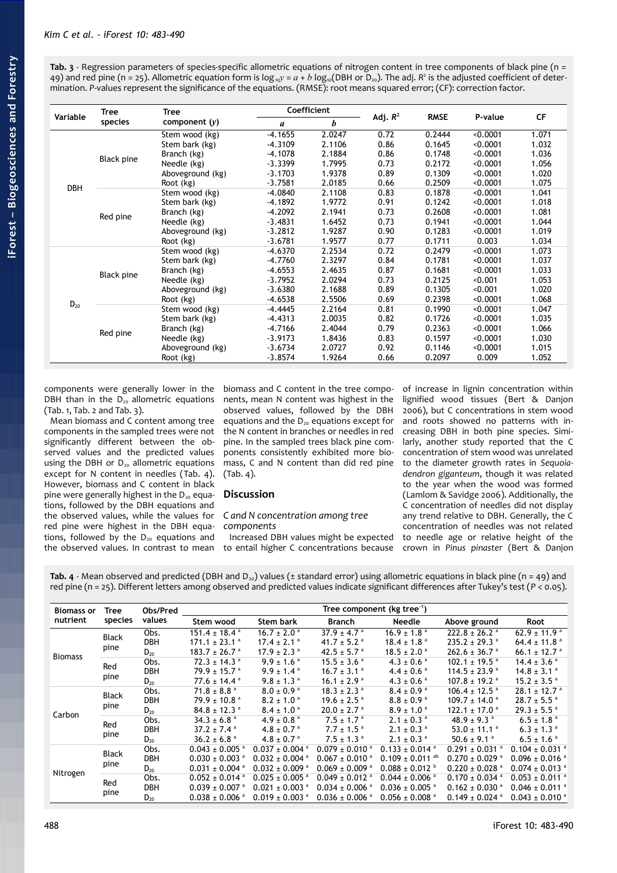<span id="page-5-0"></span>**Tab. 3** - Regression parameters of species-specific allometric equations of nitrogen content in tree components of black pine (n = 49) and red pine (n = 25). Allometric equation form is  $\log_{10}y = a + b \log_{10}(\text{DBH or D}_{20})$ . The adj.  $R^2$  is the adjusted coefficient of determination. *P*-values represent the significance of the equations. (RMSE): root means squared error; (CF): correction factor.

| Variable   | <b>Tree</b>       | Tree             | <b>Coefficient</b> |        |            |             |          |       |
|------------|-------------------|------------------|--------------------|--------|------------|-------------|----------|-------|
|            | species           | component $(y)$  | a                  | b      | Adj. $R^2$ | <b>RMSE</b> | P-value  | CF    |
|            |                   | Stem wood (kg)   | $-4.1655$          | 2.0247 | 0.72       | 0.2444      | < 0.0001 | 1.071 |
|            |                   | Stem bark (kg)   | $-4.3109$          | 2.1106 | 0.86       | 0.1645      | < 0.0001 | 1.032 |
|            | Black pine        | Branch (kg)      | $-4.1078$          | 2.1884 | 0.86       | 0.1748      | < 0.0001 | 1.036 |
|            |                   | Needle (kg)      | $-3.3399$          | 1.7995 | 0.73       | 0.2172      | < 0.0001 | 1.056 |
|            |                   | Aboveground (kg) | $-3.1703$          | 1.9378 | 0.89       | 0.1309      | < 0.0001 | 1.020 |
| <b>DBH</b> |                   | Root (kg)        | $-3.7581$          | 2.0185 | 0.66       | 0.2509      | < 0.0001 | 1.075 |
|            |                   | Stem wood (kg)   | -4.0840            | 2.1108 | 0.83       | 0.1878      | < 0.0001 | 1.041 |
|            |                   | Stem bark (kg)   | $-4.1892$          | 1.9772 | 0.91       | 0.1242      | < 0.0001 | 1.018 |
|            | Red pine          | Branch (kg)      | $-4.2092$          | 2.1941 | 0.73       | 0.2608      | < 0.0001 | 1.081 |
|            |                   | Needle (kg)      | $-3.4831$          | 1.6452 | 0.73       | 0.1941      | < 0.0001 | 1.044 |
|            |                   | Aboveground (kg) | $-3.2812$          | 1.9287 | 0.90       | 0.1283      | < 0.0001 | 1.019 |
|            |                   | Root (kg)        | $-3.6781$          | 1.9577 | 0.77       | 0.1711      | 0.003    | 1.034 |
|            | <b>Black pine</b> | Stem wood (kg)   | $-4.6370$          | 2.2534 | 0.72       | 0.2479      | < 0.0001 | 1.073 |
|            |                   | Stem bark (kg)   | -4.7760            | 2.3297 | 0.84       | 0.1781      | < 0.0001 | 1.037 |
|            |                   | Branch (kg)      | $-4.6553$          | 2.4635 | 0.87       | 0.1681      | < 0.0001 | 1.033 |
|            |                   | Needle (kg)      | $-3.7952$          | 2.0294 | 0.73       | 0.2125      | < 0.001  | 1.053 |
|            |                   | Aboveground (kg) | $-3.6380$          | 2.1688 | 0.89       | 0.1305      | < 0.001  | 1.020 |
|            |                   | Root (kg)        | $-4.6538$          | 2.5506 | 0.69       | 0.2398      | < 0.0001 | 1.068 |
| $D_{20}$   |                   | Stem wood (kg)   | $-4.4445$          | 2.2164 | 0.81       | 0.1990      | < 0.0001 | 1.047 |
|            | Red pine          | Stem bark (kg)   | $-4.4313$          | 2.0035 | 0.82       | 0.1726      | < 0.0001 | 1.035 |
|            |                   | Branch (kg)      | $-4.7166$          | 2.4044 | 0.79       | 0.2363      | < 0.0001 | 1.066 |
|            |                   | Needle (kg)      | $-3.9173$          | 1.8436 | 0.83       | 0.1597      | < 0.0001 | 1.030 |
|            |                   | Aboveground (kg) | $-3.6734$          | 2.0727 | 0.92       | 0.1146      | < 0.0001 | 1.015 |
|            |                   | Root (kg)        | $-3.8574$          | 1.9264 | 0.66       | 0.2097      | 0.009    | 1.052 |

components were generally lower in the DBH than in the  $D_{20}$  allometric equations [\(Tab. 1,](#page-4-1) [Tab. 2](#page-4-0) and [Tab. 3\)](#page-5-0).

Mean biomass and C content among tree components in the sampled trees were not significantly different between the observed values and the predicted values using the DBH or  $D_{20}$  allometric equations except for N content in needles [\(Tab. 4\)](#page-5-1). However, biomass and C content in black pine were generally highest in the  $D_{20}$  equations, followed by the DBH equations and the observed values, while the values for red pine were highest in the DBH equations, followed by the  $D_{20}$  equations and the observed values. In contrast to mean

biomass and C content in the tree components, mean N content was highest in the observed values, followed by the DBH equations and the  $D_{20}$  equations except for the N content in branches or needles in red pine. In the sampled trees black pine components consistently exhibited more biomass, C and N content than did red pine [\(Tab. 4\)](#page-5-1).

# **Discussion**

#### *C and N concentration among tree components*

Increased DBH values might be expected to entail higher C concentrations because of increase in lignin concentration within lignified wood tissues (Bert & Danjon 2006), but C concentrations in stem wood and roots showed no patterns with increasing DBH in both pine species. Similarly, another study reported that the C concentration of stem wood was unrelated to the diameter growth rates in *Sequoiadendron giganteum*, though it was related to the year when the wood was formed (Lamlom & Savidge 2006). Additionally, the C concentration of needles did not display any trend relative to DBH. Generally, the C concentration of needles was not related to needle age or relative height of the crown in *Pinus pinaster* (Bert & Danjon

<span id="page-5-1"></span>**Tab. 4** - Mean observed and predicted (DBH and  $D_{20}$ ) values ( $\pm$  standard error) using allometric equations in black pine (n = 49) and red pine (n = 25). Different letters among observed and predicted values indicate significant differences after Tukey's test (*P* < 0.05).

| <b>Biomass or</b> | Tree<br>species      | Obs/Pred<br>values | Tree component (kg tree <sup>-1</sup> ) |                                     |                                |                                 |                                |                                |
|-------------------|----------------------|--------------------|-----------------------------------------|-------------------------------------|--------------------------------|---------------------------------|--------------------------------|--------------------------------|
| nutrient          |                      |                    | Stem wood                               | <b>Stem bark</b>                    | Branch                         | <b>Needle</b>                   | Above ground                   | Root                           |
| <b>Biomass</b>    | <b>Black</b><br>pine | Obs.               | $151.4 \pm 18.4$ <sup>a</sup>           | $16.7 \pm 2.0$ <sup>a</sup>         | $37.9 \pm 4.7$ <sup>a</sup>    | $16.9 \pm 1.8$ <sup>a</sup>     | $222.8 \pm 26.2$ <sup>a</sup>  | $62.9 \pm 11.9$ <sup>a</sup>   |
|                   |                      | <b>DBH</b>         | $171.1 \pm 23.1$ <sup>a</sup>           | $17.4 \pm 2.1$ <sup>a</sup>         | 41.7 ± 5.2 $a$                 | $18.4 \pm 1.8$ <sup>a</sup>     | $235.2 \pm 29.3$ <sup>a</sup>  | $64.4 \pm 11.8$ <sup>a</sup>   |
|                   |                      | $D_{20}$           | $183.7 \pm 26.7$ <sup>a</sup>           | $17.9 \pm 2.3$ <sup>a</sup>         | $42.5 \pm 5.7$ <sup>a</sup>    | $18.5 \pm 2.0$ <sup>a</sup>     | $262.6 \pm 36.7$ <sup>a</sup>  | 66.1 ± 12.7 $a$                |
|                   | Red<br>pine          | Obs.               | $72.3 \pm 14.3$ <sup>a</sup>            | $9.9 \pm 1.6$ <sup>a</sup>          | $15.5 \pm 3.6$ <sup>a</sup>    | $4.3 \pm 0.6$ <sup>a</sup>      | $102.1 \pm 19.5$ <sup>a</sup>  | $14.4 \pm 3.6$ <sup>a</sup>    |
|                   |                      | <b>DBH</b>         | $79.9 \pm 15.7$ <sup>a</sup>            | $9.9 \pm 1.4$ <sup>a</sup>          | $16.7 \pm 3.1$ <sup>a</sup>    | $4.4 \pm 0.6$ <sup>a</sup>      | $114.5 \pm 23.9$ <sup>a</sup>  | $14.8 \pm 3.1$ <sup>a</sup>    |
|                   |                      | $D_{20}$           | $77.6 \pm 14.4$ <sup>a</sup>            | $9.8 \pm 1.3$ <sup>a</sup>          | $16.1 \pm 2.9$ <sup>a</sup>    | $4.3 \pm 0.6$ <sup>a</sup>      | $107.8 \pm 19.2$ <sup>a</sup>  | $15.2 \pm 3.5$ <sup>a</sup>    |
|                   | <b>Black</b><br>pine | Obs.               | $71.8 \pm 8.8$ <sup>a</sup>             | $8.0 \pm 0.9$ <sup>a</sup>          | $18.3 \pm 2.3$ <sup>a</sup>    | $8.4 \pm 0.9$ <sup>a</sup>      | $106.4 \pm 12.5$ <sup>a</sup>  | $28.1 \pm 12.7$ <sup>a</sup>   |
|                   |                      | <b>DBH</b>         | $79.9 \pm 10.8$ <sup>a</sup>            | $8.2 \pm 1.0$ <sup>a</sup>          | $19.6 \pm 2.5$ <sup>a</sup>    | $8.8 \pm 0.9$ <sup>a</sup>      | $109.7 \pm 14.0$ <sup>a</sup>  | $28.7 \pm 5.5$ <sup>a</sup>    |
|                   |                      | $D_{20}$           | $84.8 \pm 12.3$ <sup>a</sup>            | $8.4 \pm 1.0^{\circ}$               | $20.0 \pm 2.7$ <sup>a</sup>    | $8.9 \pm 1.0$ <sup>a</sup>      | $122.1 \pm 17.0$ <sup>a</sup>  | $29.3 \pm 5.5$ <sup>a</sup>    |
| Carbon            | Red<br>pine          | Obs.               | $34.3 \pm 6.8$ <sup>a</sup>             | 4.9 ± 0.8 $a$                       | $7.5 \pm 1.7$ <sup>a</sup>     | $2.1 \pm 0.3$ <sup>a</sup>      | $48.9 \pm 9.3$ <sup>a</sup>    | $6.5 \pm 1.8$ <sup>a</sup>     |
|                   |                      | <b>DBH</b>         | $37.2 \pm 7.4$ <sup>a</sup>             | 4.8 $\pm$ 0.7 $\textsuperscript{a}$ | $7.7 \pm 1.5$ <sup>a</sup>     | $2.1 \pm 0.3$ <sup>a</sup>      | 53.0 ± 11.1 $a$                | $6.3 \pm 1.3$ <sup>a</sup>     |
|                   |                      | $D_{20}$           | $36.2 \pm 6.8$ <sup>a</sup>             | 4.8 ± 0.7 $a$                       | $7.5 \pm 1.3$ <sup>a</sup>     | $2.1 \pm 0.3$ <sup>a</sup>      | $50.6 \pm 9.1$ <sup>a</sup>    | $6.5 \pm 1.6$ <sup>a</sup>     |
| Nitrogen          | <b>Black</b><br>pine | Obs.               | $0.043 \pm 0.005$ <sup>a</sup>          | $0.037 + 0.004$ <sup>a</sup>        | $0.079 \pm 0.010$ <sup>a</sup> | $0.133 \pm 0.014$ <sup>a</sup>  | $0.291 \pm 0.031$ <sup>a</sup> | $0.104 \pm 0.031$ <sup>a</sup> |
|                   |                      | <b>DBH</b>         | $0.030 \pm 0.003$ <sup>a</sup>          | $0.032 \pm 0.004$ <sup>a</sup>      | $0.067 \pm 0.010^{\text{ a}}$  | $0.109 \pm 0.011$ <sup>ab</sup> | $0.270 + 0.029$ <sup>a</sup>   | $0.096 \pm 0.016$ <sup>a</sup> |
|                   |                      | $D_{20}$           | $0.031 \pm 0.004$ <sup>a</sup>          | $0.032 \pm 0.009$ <sup>a</sup>      | $0.069 \pm 0.009$ <sup>a</sup> | $0.088 \pm 0.012$               | $0.220 \pm 0.028$ <sup>a</sup> | $0.074 \pm 0.013$ <sup>a</sup> |
|                   | Red<br>pine          | Obs.               | $0.052 \pm 0.014$ <sup>a</sup>          | $0.025 \pm 0.005$ <sup>a</sup>      | $0.049 \pm 0.012$ <sup>a</sup> | $0.044 \pm 0.006$ <sup>a</sup>  | $0.170 + 0.034$ <sup>a</sup>   | $0.053 \pm 0.011$ <sup>a</sup> |
|                   |                      | <b>DBH</b>         | $0.039 \pm 0.007$ <sup>a</sup>          | $0.021 \pm 0.003$ <sup>a</sup>      | $0.034 \pm 0.006$ <sup>a</sup> | $0.036 \pm 0.005$ <sup>a</sup>  | $0.162 + 0.030$ <sup>a</sup>   | $0.046 \pm 0.011$ <sup>a</sup> |
|                   |                      | $D_{20}$           | $0.038 \pm 0.006$ <sup>a</sup>          | $0.019 \pm 0.003$ <sup>a</sup>      | $0.036 \pm 0.006$ <sup>a</sup> | $0.056 \pm 0.008$ <sup>a</sup>  | $0.149 \pm 0.024$ <sup>a</sup> | $0.043 \pm 0.010$ <sup>a</sup> |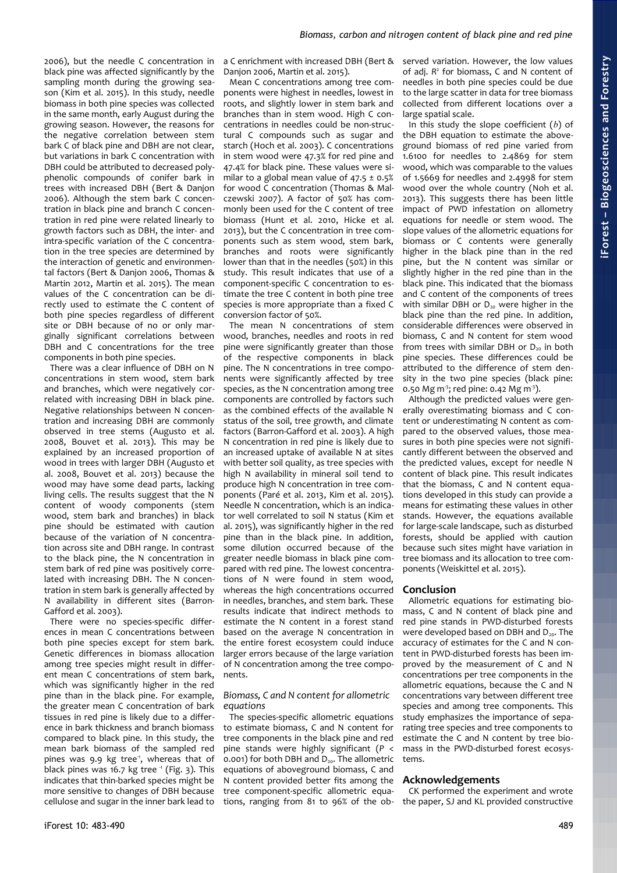2006), but the needle C concentration in black pine was affected significantly by the sampling month during the growing season (Kim et al. 2015). In this study, needle biomass in both pine species was collected in the same month, early August during the growing season. However, the reasons for the negative correlation between stem bark C of black pine and DBH are not clear, but variations in bark C concentration with DBH could be attributed to decreased polyphenolic compounds of conifer bark in trees with increased DBH (Bert & Danjon 2006). Although the stem bark C concentration in black pine and branch C concentration in red pine were related linearly to growth factors such as DBH, the inter- and intra-specific variation of the C concentration in the tree species are determined by the interaction of genetic and environmental factors (Bert & Danjon 2006, Thomas & Martin 2012, Martin et al. 2015). The mean values of the C concentration can be directly used to estimate the C content of both pine species regardless of different site or DBH because of no or only marginally significant correlations between DBH and C concentrations for the tree components in both pine species.

There was a clear influence of DBH on N concentrations in stem wood, stem bark and branches, which were negatively correlated with increasing DBH in black pine. Negative relationships between N concentration and increasing DBH are commonly observed in tree stems (Augusto et al. 2008, Bouvet et al. 2013). This may be explained by an increased proportion of wood in trees with larger DBH (Augusto et al. 2008, Bouvet et al. 2013) because the wood may have some dead parts, lacking living cells. The results suggest that the N content of woody components (stem wood, stem bark and branches) in black pine should be estimated with caution because of the variation of N concentration across site and DBH range. In contrast to the black pine, the N concentration in stem bark of red pine was positively correlated with increasing DBH. The N concentration in stem bark is generally affected by N availability in different sites (Barron-Gafford et al. 2003).

There were no species-specific differences in mean C concentrations between both pine species except for stem bark. Genetic differences in biomass allocation among tree species might result in different mean C concentrations of stem bark, which was significantly higher in the red pine than in the black pine. For example, the greater mean C concentration of bark tissues in red pine is likely due to a difference in bark thickness and branch biomass compared to black pine. In this study, the mean bark biomass of the sampled red pines was 9.9 kg tree<sup>1</sup>, whereas that of black pines was 16.7 kg tree  $\frac{1}{1}$  [\(Fig. 3\)](#page-2-0). This indicates that thin-barked species might be more sensitive to changes of DBH because cellulose and sugar in the inner bark lead to

Danjon 2006, Martin et al. 2015).

Mean C concentrations among tree components were highest in needles, lowest in roots, and slightly lower in stem bark and branches than in stem wood. High C concentrations in needles could be non-structural C compounds such as sugar and starch (Hoch et al. 2003). C concentrations in stem wood were 47.3% for red pine and 47.4% for black pine. These values were similar to a global mean value of  $47.5 \pm 0.5\%$ for wood C concentration (Thomas & Malczewski 2007). A factor of 50% has commonly been used for the C content of tree biomass (Hunt et al. 2010, Hicke et al. 2013), but the C concentration in tree components such as stem wood, stem bark, branches and roots were significantly lower than that in the needles (50%) in this study. This result indicates that use of a component-specific C concentration to estimate the tree C content in both pine tree species is more appropriate than a fixed C conversion factor of 50%.

The mean N concentrations of stem wood, branches, needles and roots in red pine were significantly greater than those of the respective components in black pine. The N concentrations in tree components were significantly affected by tree species, as the N concentration among tree components are controlled by factors such as the combined effects of the available N status of the soil, tree growth, and climate factors (Barron-Gafford et al. 2003). A high N concentration in red pine is likely due to an increased uptake of available N at sites with better soil quality, as tree species with high N availability in mineral soil tend to produce high N concentration in tree components (Paré et al. 2013, Kim et al. 2015). Needle N concentration, which is an indicator well correlated to soil N status (Kim et al. 2015), was significantly higher in the red pine than in the black pine. In addition, some dilution occurred because of the greater needle biomass in black pine compared with red pine. The lowest concentrations of N were found in stem wood, whereas the high concentrations occurred in needles, branches, and stem bark. These results indicate that indirect methods to estimate the N content in a forest stand based on the average N concentration in the entire forest ecosystem could induce larger errors because of the large variation of N concentration among the tree components.

#### *Biomass, C and N content for allometric equations*

The species-specific allometric equations to estimate biomass, C and N content for tree components in the black pine and red pine stands were highly significant (*P* < 0.001) for both DBH and  $D_{20}$ . The allometric equations of aboveground biomass, C and N content provided better fits among the tree component-specific allometric equations, ranging from 81 to 96% of the ob-

a C enrichment with increased DBH (Bert & served variation. However, the low values of adj. R<sup>2</sup> for biomass, C and N content of needles in both pine species could be due to the large scatter in data for tree biomass collected from different locations over a large spatial scale.

> In this study the slope coefficient (*b*) of the DBH equation to estimate the aboveground biomass of red pine varied from 1.6100 for needles to 2.4869 for stem wood, which was comparable to the values of 1.5669 for needles and 2.4998 for stem wood over the whole country (Noh et al. 2013). This suggests there has been little impact of PWD infestation on allometry equations for needle or stem wood. The slope values of the allometric equations for biomass or C contents were generally higher in the black pine than in the red pine, but the N content was similar or slightly higher in the red pine than in the black pine. This indicated that the biomass and C content of the components of trees with similar DBH or  $D_{20}$  were higher in the black pine than the red pine. In addition, considerable differences were observed in biomass, C and N content for stem wood from trees with similar DBH or  $D_{20}$  in both pine species. These differences could be attributed to the difference of stem density in the two pine species (black pine: 0.50 Mg m<sup>3</sup>; red pine: 0.42 Mg m<sup>3</sup>).

> Although the predicted values were generally overestimating biomass and C content or underestimating N content as compared to the observed values, those measures in both pine species were not significantly different between the observed and the predicted values, except for needle N content of black pine. This result indicates that the biomass, C and N content equations developed in this study can provide a means for estimating these values in other stands. However, the equations available for large-scale landscape, such as disturbed forests, should be applied with caution because such sites might have variation in tree biomass and its allocation to tree components (Weiskittel et al. 2015).

# **Conclusion**

Allometric equations for estimating biomass, C and N content of black pine and red pine stands in PWD-disturbed forests were developed based on DBH and  $D_{20}$ . The accuracy of estimates for the C and N content in PWD-disturbed forests has been improved by the measurement of C and N concentrations per tree components in the allometric equations, because the C and N concentrations vary between different tree species and among tree components. This study emphasizes the importance of separating tree species and tree components to estimate the C and N content by tree biomass in the PWD-disturbed forest ecosystems.

#### **Acknowledgements**

CK performed the experiment and wrote the paper, SJ and KL provided constructive